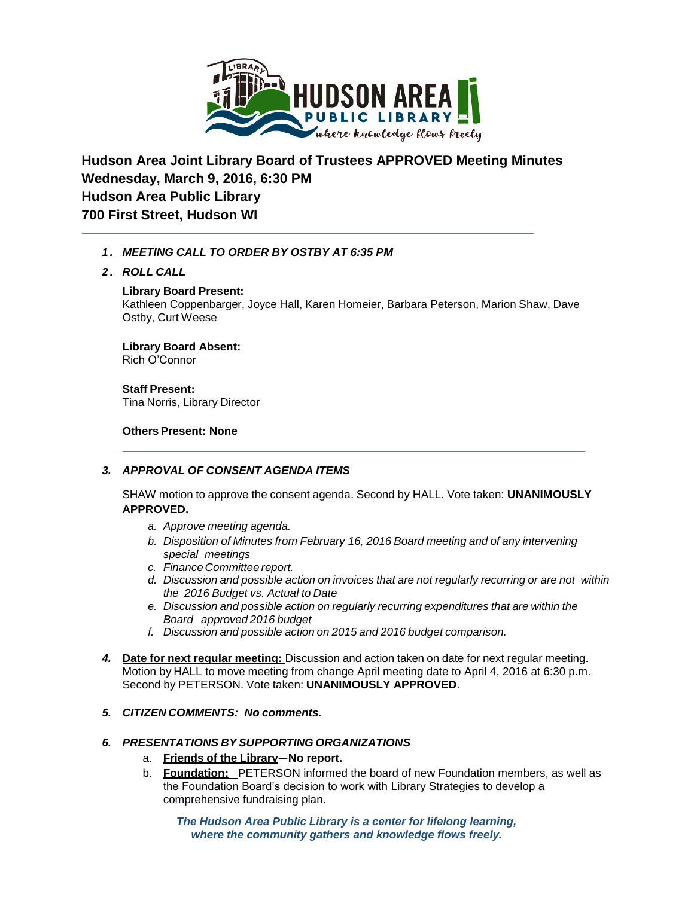

# **Hudson Area Joint Library Board of Trustees APPROVED Meeting Minutes Wednesday, March 9, 2016, 6:30 PM Hudson Area Public Library 700 First Street, Hudson WI**

### *1 . MEETING CALL TO ORDER BY OSTBY AT 6:35 PM*

### *2 . ROLL CALL*

## **Library Board Present:**

Kathleen Coppenbarger, Joyce Hall, Karen Homeier, Barbara Peterson, Marion Shaw, Dave Ostby, Curt Weese

## **Library Board Absent:**

Rich O'Connor

**Staff Present:** Tina Norris, Library Director

#### **Others Present: None**

### *3. APPROVAL OF CONSENT AGENDA ITEMS*

SHAW motion to approve the consent agenda. Second by HALL. Vote taken: **UNANIMOUSLY APPROVED.**

- *a. Approve meeting agenda.*
- *b. Disposition of Minutes from February 16, 2016 Board meeting and of any intervening special meetings*
- *c. Finance Committee report.*
- *d. Discussion and possible action on invoices that are not regularly recurring or are not within the 2016 Budget vs. Actual to Date*
- *e. Discussion and possible action on regularly recurring expenditures that are within the Board approved 2016 budget*
- *f. Discussion and possible action on 2015 and 2016 budget comparison.*
- *4.* **Date for next regular meeting:** Discussion and action taken on date for next regular meeting. Motion by HALL to move meeting from change April meeting date to April 4, 2016 at 6:30 p.m. Second by PETERSON. Vote taken: **UNANIMOUSLY APPROVED**.
- *5. CITIZEN COMMENTS: No comments.*

### *6. PRESENTATIONS BY SUPPORTING ORGANIZATIONS*

- a. **Friends of the Library—No report.**
- b. **Foundation:** PETERSON informed the board of new Foundation members, as well as the Foundation Board's decision to work with Library Strategies to develop a comprehensive fundraising plan.

*The Hudson Area Public Library is a center for lifelong learning, where the community gathers and knowledge flows freely.*